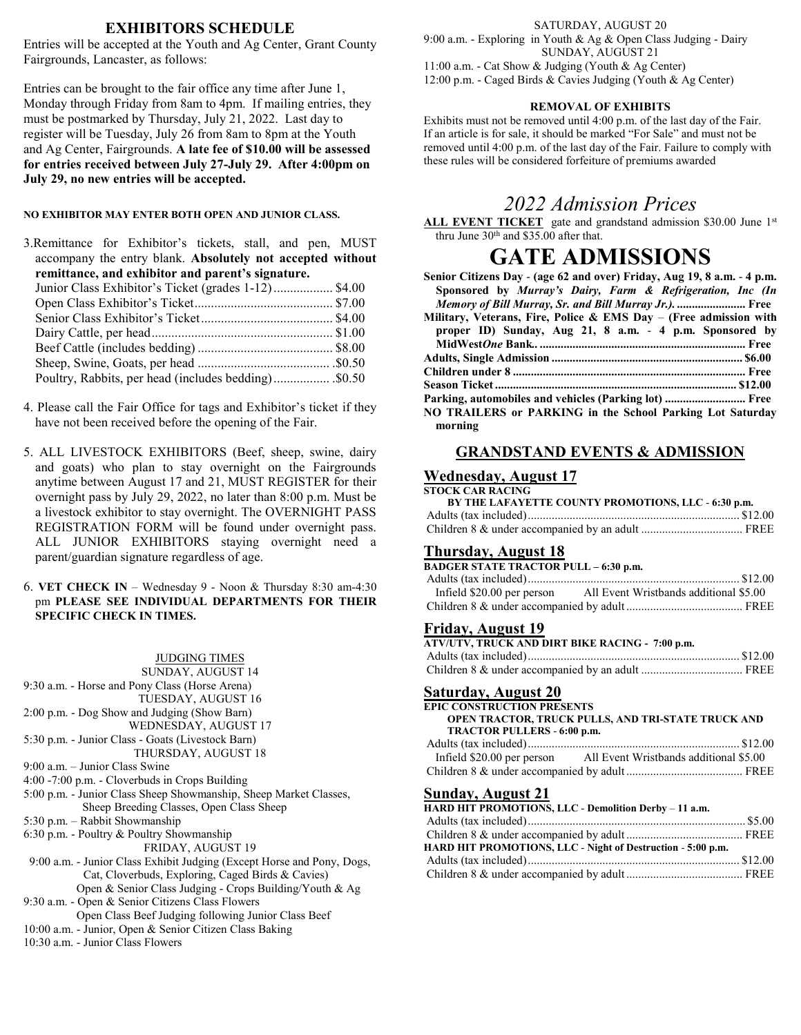# **EXHIBITORS SCHEDULE**

Entries will be accepted at the Youth and Ag Center, Grant County Fairgrounds, Lancaster, as follows:

Entries can be brought to the fair office any time after June 1, Monday through Friday from 8am to 4pm. If mailing entries, they must be postmarked by Thursday, July 21, 2022. Last day to register will be Tuesday, July 26 from 8am to 8pm at the Youth and Ag Center, Fairgrounds. **A late fee of \$10.00 will be assessed for entries received between July 27-July 29. After 4:00pm on July 29, no new entries will be accepted.**

#### **NO EXHIBITOR MAY ENTER BOTH OPEN AND JUNIOR CLASS.**

| 3. Remittance for Exhibitor's tickets, stall, and pen, MUST |  |
|-------------------------------------------------------------|--|
| accompany the entry blank. Absolutely not accepted without  |  |
| remittance, and exhibitor and parent's signature.           |  |
| Junior Class Exhibitor's Ticket (grades 1-12) \$4.00        |  |
|                                                             |  |
|                                                             |  |
|                                                             |  |
|                                                             |  |
|                                                             |  |
| Poultry, Rabbits, per head (includes bedding) \$0.50        |  |

- 4. Please call the Fair Office for tags and Exhibitor's ticket if they have not been received before the opening of the Fair.
- 5. ALL LIVESTOCK EXHIBITORS (Beef, sheep, swine, dairy and goats) who plan to stay overnight on the Fairgrounds anytime between August 17 and 21, MUST REGISTER for their overnight pass by July 29, 2022, no later than 8:00 p.m. Must be a livestock exhibitor to stay overnight. The OVERNIGHT PASS REGISTRATION FORM will be found under overnight pass. ALL JUNIOR EXHIBITORS staying overnight need a parent/guardian signature regardless of age.
- 6. **VET CHECK IN** Wednesday 9 Noon & Thursday 8:30 am-4:30 pm **PLEASE SEE INDIVIDUAL DEPARTMENTS FOR THEIR SPECIFIC CHECK IN TIMES.**

#### JUDGING TIMES

SUNDAY, AUGUST 14 9:30 a.m. - Horse and Pony Class (Horse Arena) TUESDAY, AUGUST 16 2:00 p.m. - Dog Show and Judging (Show Barn) WEDNESDAY, AUGUST 17 5:30 p.m. - Junior Class - Goats (Livestock Barn) THURSDAY, AUGUST 18 9:00 a.m. – Junior Class Swine 4:00 -7:00 p.m. - Cloverbuds in Crops Building 5:00 p.m. - Junior Class Sheep Showmanship, Sheep Market Classes, Sheep Breeding Classes, Open Class Sheep 5:30 p.m. – Rabbit Showmanship 6:30 p.m. - Poultry & Poultry Showmanship FRIDAY, AUGUST 19 9:00 a.m. - Junior Class Exhibit Judging (Except Horse and Pony, Dogs, Cat, Cloverbuds, Exploring, Caged Birds & Cavies) Open & Senior Class Judging - Crops Building/Youth & Ag 9:30 a.m. - Open & Senior Citizens Class Flowers Open Class Beef Judging following Junior Class Beef 10:00 a.m. - Junior, Open & Senior Citizen Class Baking 10:30 a.m. - Junior Class Flowers

#### SATURDAY, AUGUST 20 9:00 a.m. - Exploring in Youth & Ag & Open Class Judging - Dairy SUNDAY, AUGUST 21 11:00 a.m. - Cat Show & Judging (Youth & Ag Center)

12:00 p.m. - Caged Birds & Cavies Judging (Youth & Ag Center)

#### **REMOVAL OF EXHIBITS**

Exhibits must not be removed until 4:00 p.m. of the last day of the Fair. If an article is for sale, it should be marked "For Sale" and must not be removed until 4:00 p.m. of the last day of the Fair. Failure to comply with these rules will be considered forfeiture of premiums awarded

# *2022 Admission Prices*

ALL EVENT TICKET gate and grandstand admission \$30.00 June 1<sup>st</sup> thru June 30<sup>th</sup> and \$35.00 after that.

# **GATE ADMISSIONS**

| Senior Citizens Day - (age 62 and over) Friday, Aug 19, 8 a.m. - 4 p.m. |
|-------------------------------------------------------------------------|
| Sponsored by Murray's Dairy, Farm & Refrigeration, Inc (In              |
| Memory of Bill Murray, Sr. and Bill Murray Jr.).  Free                  |
| Military, Veterans, Fire, Police & EMS Day $-$ (Free admission with     |
| proper ID) Sunday, Aug 21, 8 a.m. - 4 p.m. Sponsored by                 |
|                                                                         |
|                                                                         |
|                                                                         |
|                                                                         |
| Parking, automobiles and vehicles (Parking lot)  Free                   |
| NO TRAILERS or PARKING in the School Parking Lot Saturday               |
| morning                                                                 |

# **GRANDSTAND EVENTS & ADMISSION**

#### **Wednesday, August 17 STOCK CAR RACING**

| 91 OCK CAR RACING                                   |  |
|-----------------------------------------------------|--|
| BY THE LAFAYETTE COUNTY PROMOTIONS, LLC - 6:30 p.m. |  |
|                                                     |  |
|                                                     |  |

## **Thursday, August 18**

| <b>BADGER STATE TRACTOR PULL - 6:30 p.m.</b>                      |  |  |
|-------------------------------------------------------------------|--|--|
|                                                                   |  |  |
| Infield \$20.00 per person All Event Wristbands additional \$5.00 |  |  |
|                                                                   |  |  |

## **Friday, August 19**

| ATV/UTV, TRUCK AND DIRT BIKE RACING - 7:00 p.m. |  |
|-------------------------------------------------|--|
|                                                 |  |
|                                                 |  |

# **Saturday, August 20**

| <b>EPIC CONSTRUCTION PRESENTS</b>                                 |
|-------------------------------------------------------------------|
| OPEN TRACTOR, TRUCK PULLS, AND TRI-STATE TRUCK AND                |
| TRACTOR PULLERS - 6:00 p.m.                                       |
|                                                                   |
| Infield \$20.00 per person All Event Wristbands additional \$5.00 |
|                                                                   |
| <b>Sunday, August 21</b>                                          |
|                                                                   |
| HARD HIT PROMOTIONS, LLC - Demolition Derby - 11 a.m.             |
|                                                                   |
|                                                                   |
| HARD HIT PROMOTIONS, LLC - Night of Destruction - 5:00 p.m.       |

Children 8 & under accompanied by adult....................................... FREE